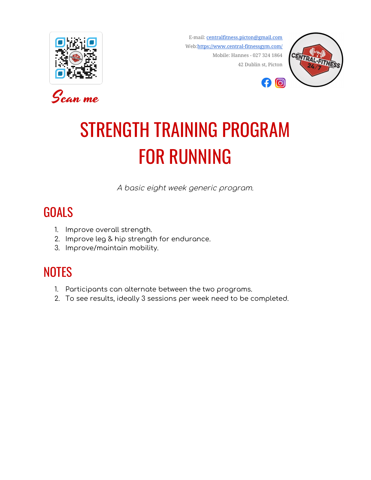



E-mail: [centralfitness.picton@gmail.com](mailto:centralfitness.picton@gmail.com) Web:<https://www.central-fitnessgym.com/> Mobile: Hannes - 027 324 1864 42 Dublin st, Picton



# STRENGTH TRAINING PROGRAM FOR RUNNING

A basic eight week generic program.

### **GOALS**

- 1. Improve overall strength.
- 2. Improve leg & hip strength for endurance.
- 3. Improve/maintain mobility.

### **NOTES**

- 1. Participants can alternate between the two programs.
- 2. To see results, ideally 3 sessions per week need to be completed.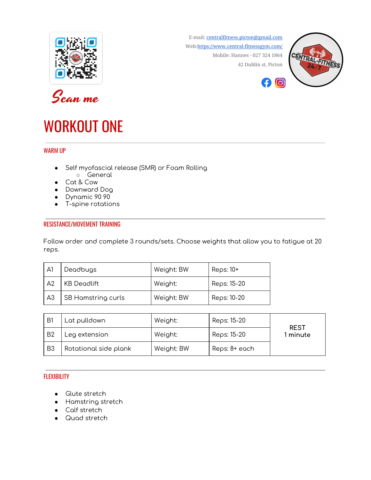



# WORKOUT ONE

#### WARM UP

- Self myofascial release (SMR) or Foam Rolling ○ General
- Cat & Cow
- Downward Dog
- Dynamic 90 90
- T-spine rotations

#### RESISTANCE/MOVEMENT TRAINING

Follow order and complete 3 rounds/sets. Choose weights that allow you to fatigue at 20 reps.

| A1             | Deadbugs           | Weight: BW | Reps: $10+$ |
|----------------|--------------------|------------|-------------|
| A2             | KB Deadlift        | Weight:    | Reps: 15-20 |
| A <sub>3</sub> | SB Hamstring curls | Weight: BW | Reps: 10-20 |

| B1             | Lat pulldown          | Weight:    | Reps: 15-20   | <b>REST</b> |
|----------------|-----------------------|------------|---------------|-------------|
| B <sub>2</sub> | Leg extension         | Weight:    | Reps: 15-20   | l minute    |
| B <sub>3</sub> | Rotational side plank | Weight: BW | Reps: 8+ each |             |

#### FLEXIBILITY

- Glute stretch
- Hamstring stretch
- Calf stretch
- Quad stretch

E-mail: [centralfitness.picton@gmail.com](mailto:centralfitness.picton@gmail.com) Web:<https://www.central-fitnessgym.com/> Mobile: Hannes - 027 324 1864 42 Dublin st, Picton